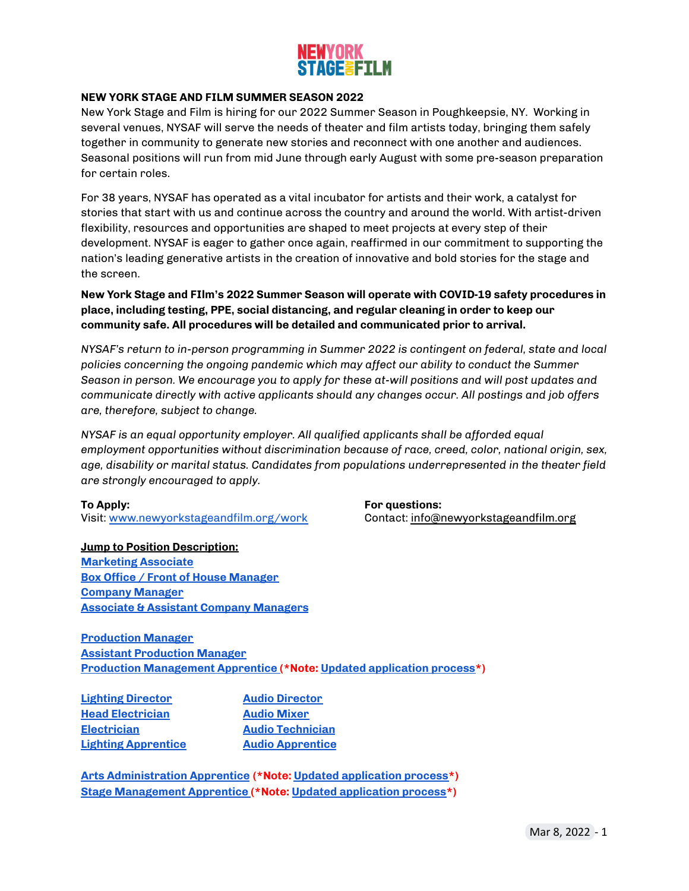# <mark>Newyork</mark><br>Stagf≧ftlm

### **NEW YORK STAGE AND FILM SUMMER SEASON 2022**

New York Stage and Film is hiring for our 2022 Summer Season in Poughkeepsie, NY. Working in several venues, NYSAF will serve the needs of theater and film artists today, bringing them safely together in community to generate new stories and reconnect with one another and audiences. Seasonal positions will run from mid June through early August with some pre-season preparation for certain roles.

For 38 years, NYSAF has operated as a vital incubator for artists and their work, a catalyst for stories that start with us and continue across the country and around the world. With artist-driven flexibility, resources and opportunities are shaped to meet projects at every step of their development. NYSAF is eager to gather once again, reaffirmed in our commitment to supporting the nation's leading generative artists in the creation of innovative and bold stories for the stage and the screen.

### **New York Stage and FIlm's 2022 Summer Season will operate with COVID-19 safety procedures in place, including testing, PPE, social distancing, and regular cleaning in order to keep our community safe. All procedures will be detailed and communicated prior to arrival.**

*NYSAF's return to in-person programming in Summer 2022 is contingent on federal, state and local policies concerning the ongoing pandemic which may affect our ability to conduct the Summer Season in person. We encourage you to apply for these at-will positions and will post updates and communicate directly with active applicants should any changes occur. All postings and job offers are, therefore, subject to change.*

*NYSAF is an equal opportunity employer. All qualified applicants shall be afforded equal employment opportunities without discrimination because of race, creed, color, national origin, sex, age, disability or marital status. Candidates from populations underrepresented in the theater field are strongly encouraged to apply.*

Visit: [www.newyorkstageandfilm.org/work](http://www.newyorkstageandfilm.org/work) Contact: [info@newyorkstageandfilm.org](mailto:info@newyorkstageandfilm.org)

**Jump to Position Description: [Marketing](#page-1-0) Associate Box Office / Front of House [Manager](#page-2-0) [Company](#page-3-0) Manager Associate & Assistant Company [Managers](#page-4-0)**

## **To Apply: For questions:**

**[Production](#page-5-0) Manager Assistant [Production](#page-6-0) Manager Production [Management](#page-15-0) Apprentice (\*Note: Updated [application](#page-15-0) process\*)**

**Lighting [Director](#page-7-0) Audio [Director](#page-10-0) Head [Electrician](#page-8-0) Audio [Mixer](#page-11-0) [Electrician](#page-9-0) Audio [Technician](#page-12-0) Lighting [Apprentice](#page-13-0) Audio [Apprentice](#page-13-0)**

**Arts [Administration](#page-15-0) Apprentice (\*Note: Updated [application](#page-15-0) process\*) Stage [Management](#page-15-0) Apprentice (\*Note: Updated [application](#page-15-0) process\*)**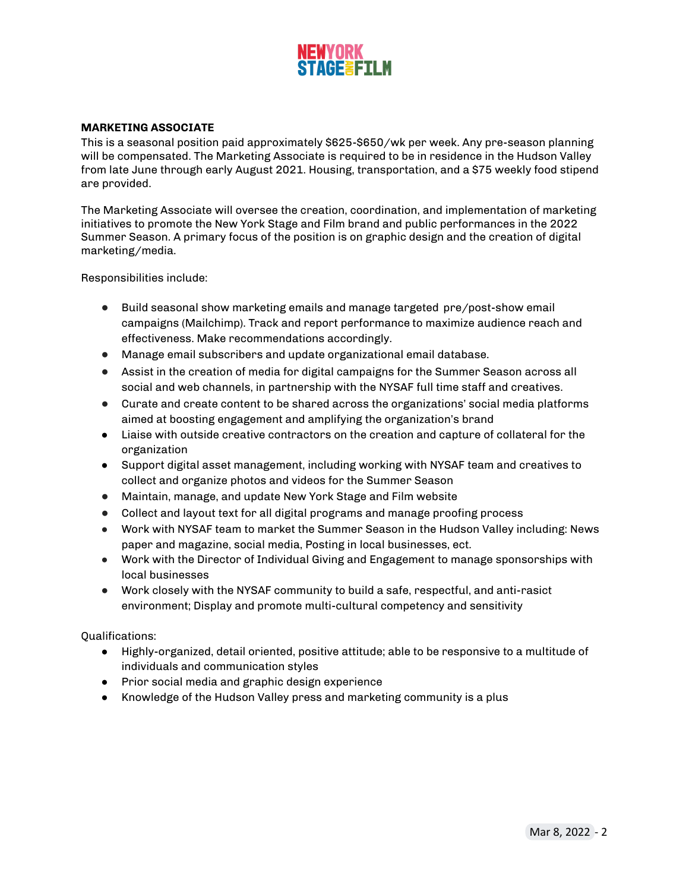

### <span id="page-1-0"></span>**MARKETING ASSOCIATE**

This is a seasonal position paid approximately \$625-\$650/wk per week. Any pre-season planning will be compensated. The Marketing Associate is required to be in residence in the Hudson Valley from late June through early August 2021. Housing, transportation, and a \$75 weekly food stipend are provided.

The Marketing Associate will oversee the creation, coordination, and implementation of marketing initiatives to promote the New York Stage and Film brand and public performances in the 2022 Summer Season. A primary focus of the position is on graphic design and the creation of digital marketing/media.

Responsibilities include:

- Build seasonal show marketing emails and manage targeted pre/post-show email campaigns (Mailchimp). Track and report performance to maximize audience reach and effectiveness. Make recommendations accordingly.
- Manage email subscribers and update organizational email database.
- Assist in the creation of media for digital campaigns for the Summer Season across all social and web channels, in partnership with the NYSAF full time staff and creatives.
- Curate and create content to be shared across the organizations' social media platforms aimed at boosting engagement and amplifying the organization's brand
- Liaise with outside creative contractors on the creation and capture of collateral for the organization
- Support digital asset management, including working with NYSAF team and creatives to collect and organize photos and videos for the Summer Season
- Maintain, manage, and update New York Stage and Film website
- Collect and layout text for all digital programs and manage proofing process
- Work with NYSAF team to market the Summer Season in the Hudson Valley including: News paper and magazine, social media, Posting in local businesses, ect.
- Work with the Director of Individual Giving and Engagement to manage sponsorships with local businesses
- Work closely with the NYSAF community to build a safe, respectful, and anti-rasict environment; Display and promote multi-cultural competency and sensitivity

- Highly-organized, detail oriented, positive attitude; able to be responsive to a multitude of individuals and communication styles
- Prior social media and graphic design experience
- Knowledge of the Hudson Valley press and marketing community is a plus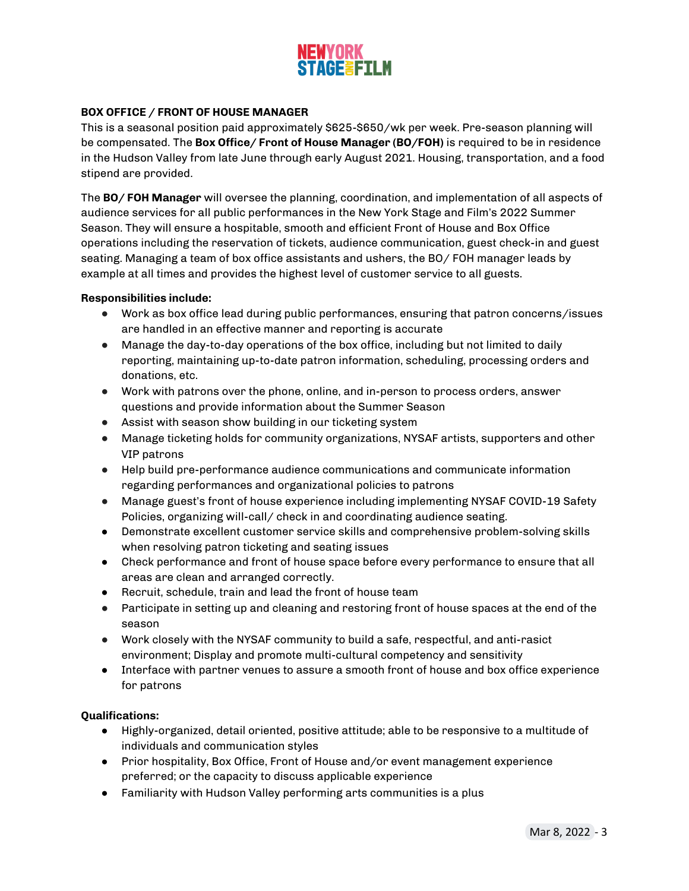

### <span id="page-2-0"></span>**BOX OFFICE / FRONT OF HOUSE MANAGER**

This is a seasonal position paid approximately \$625-\$650/wk per week. Pre-season planning will be compensated. The **Box Office/ Front of House Manager (BO/FOH)** is required to be in residence in the Hudson Valley from late June through early August 2021. Housing, transportation, and a food stipend are provided.

The **BO/ FOH Manager** will oversee the planning, coordination, and implementation of all aspects of audience services for all public performances in the New York Stage and Film's 2022 Summer Season. They will ensure a hospitable, smooth and efficient Front of House and Box Office operations including the reservation of tickets, audience communication, guest check-in and guest seating. Managing a team of box office assistants and ushers, the BO/ FOH manager leads by example at all times and provides the highest level of customer service to all guests.

### **Responsibilities include:**

- Work as box office lead during public performances, ensuring that patron concerns/issues are handled in an effective manner and reporting is accurate
- Manage the day-to-day operations of the box office, including but not limited to daily reporting, maintaining up-to-date patron information, scheduling, processing orders and donations, etc.
- Work with patrons over the phone, online, and in-person to process orders, answer questions and provide information about the Summer Season
- Assist with season show building in our ticketing system
- Manage ticketing holds for community organizations, NYSAF artists, supporters and other VIP patrons
- Help build pre-performance audience communications and communicate information regarding performances and organizational policies to patrons
- Manage guest's front of house experience including implementing NYSAF COVID-19 Safety Policies, organizing will-call/ check in and coordinating audience seating.
- Demonstrate excellent customer service skills and comprehensive problem-solving skills when resolving patron ticketing and seating issues
- Check performance and front of house space before every performance to ensure that all areas are clean and arranged correctly.
- Recruit, schedule, train and lead the front of house team
- Participate in setting up and cleaning and restoring front of house spaces at the end of the season
- Work closely with the NYSAF community to build a safe, respectful, and anti-rasict environment; Display and promote multi-cultural competency and sensitivity
- Interface with partner venues to assure a smooth front of house and box office experience for patrons

- Highly-organized, detail oriented, positive attitude; able to be responsive to a multitude of individuals and communication styles
- Prior hospitality, Box Office, Front of House and/or event management experience preferred; or the capacity to discuss applicable experience
- Familiarity with Hudson Valley performing arts communities is a plus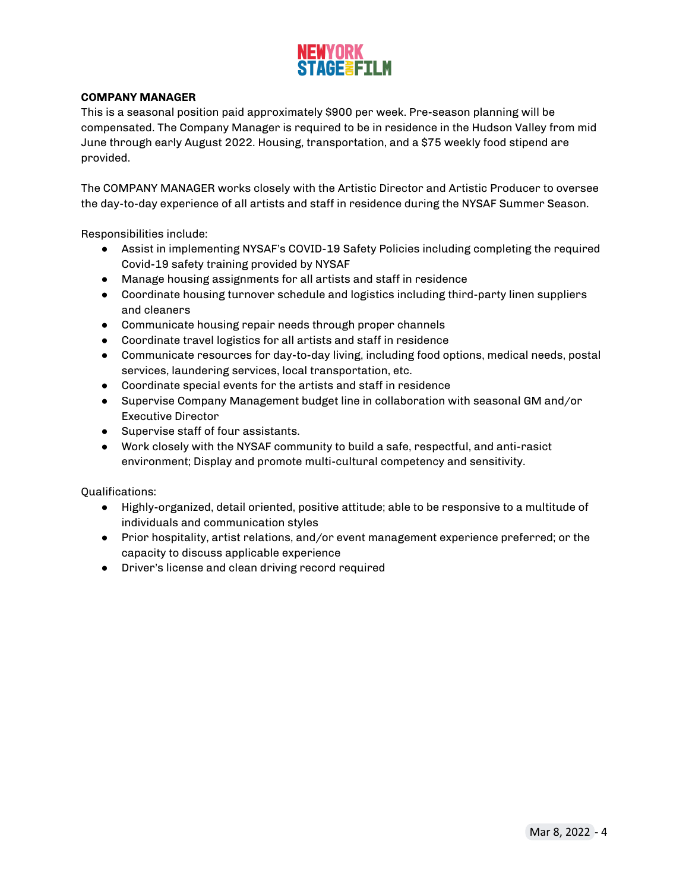

### <span id="page-3-0"></span>**COMPANY MANAGER**

This is a seasonal position paid approximately \$900 per week. Pre-season planning will be compensated. The Company Manager is required to be in residence in the Hudson Valley from mid June through early August 2022. Housing, transportation, and a \$75 weekly food stipend are provided.

The COMPANY MANAGER works closely with the Artistic Director and Artistic Producer to oversee the day-to-day experience of all artists and staff in residence during the NYSAF Summer Season.

Responsibilities include:

- Assist in implementing NYSAF's COVID-19 Safety Policies including completing the required Covid-19 safety training provided by NYSAF
- Manage housing assignments for all artists and staff in residence
- Coordinate housing turnover schedule and logistics including third-party linen suppliers and cleaners
- Communicate housing repair needs through proper channels
- Coordinate travel logistics for all artists and staff in residence
- Communicate resources for day-to-day living, including food options, medical needs, postal services, laundering services, local transportation, etc.
- Coordinate special events for the artists and staff in residence
- Supervise Company Management budget line in collaboration with seasonal GM and/or Executive Director
- Supervise staff of four assistants.
- Work closely with the NYSAF community to build a safe, respectful, and anti-rasict environment; Display and promote multi-cultural competency and sensitivity.

- Highly-organized, detail oriented, positive attitude; able to be responsive to a multitude of individuals and communication styles
- Prior hospitality, artist relations, and/or event management experience preferred; or the capacity to discuss applicable experience
- Driver's license and clean driving record required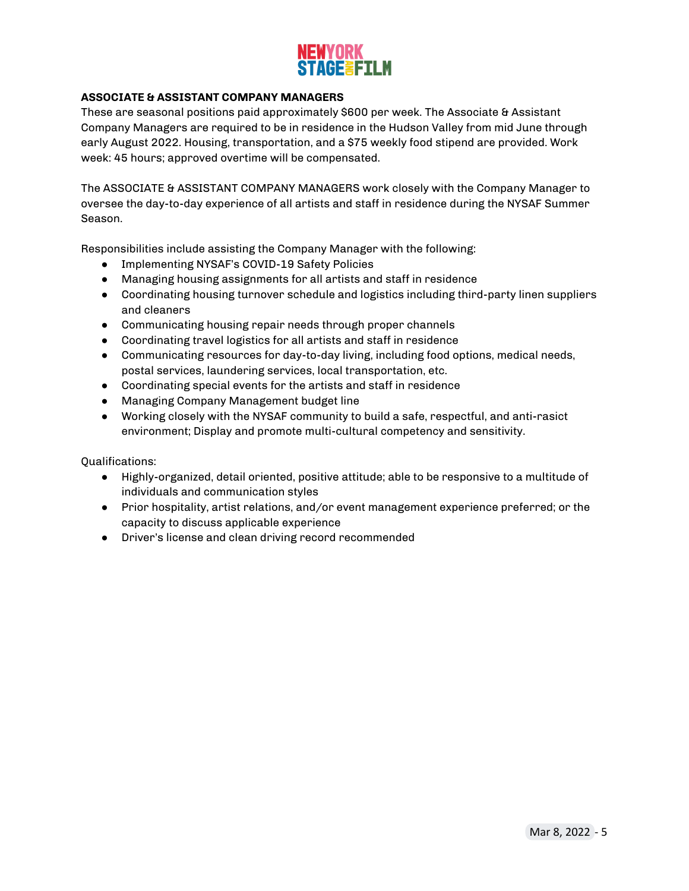### <span id="page-4-0"></span>**ASSOCIATE & ASSISTANT COMPANY MANAGERS**

These are seasonal positions paid approximately \$600 per week. The Associate & Assistant Company Managers are required to be in residence in the Hudson Valley from mid June through early August 2022. Housing, transportation, and a \$75 weekly food stipend are provided. Work week: 45 hours; approved overtime will be compensated.

The ASSOCIATE & ASSISTANT COMPANY MANAGERS work closely with the Company Manager to oversee the day-to-day experience of all artists and staff in residence during the NYSAF Summer Season.

Responsibilities include assisting the Company Manager with the following:

- Implementing NYSAF's COVID-19 Safety Policies
- Managing housing assignments for all artists and staff in residence
- Coordinating housing turnover schedule and logistics including third-party linen suppliers and cleaners
- Communicating housing repair needs through proper channels
- Coordinating travel logistics for all artists and staff in residence
- Communicating resources for day-to-day living, including food options, medical needs, postal services, laundering services, local transportation, etc.
- Coordinating special events for the artists and staff in residence
- Managing Company Management budget line
- Working closely with the NYSAF community to build a safe, respectful, and anti-rasict environment; Display and promote multi-cultural competency and sensitivity.

- Highly-organized, detail oriented, positive attitude; able to be responsive to a multitude of individuals and communication styles
- Prior hospitality, artist relations, and/or event management experience preferred; or the capacity to discuss applicable experience
- Driver's license and clean driving record recommended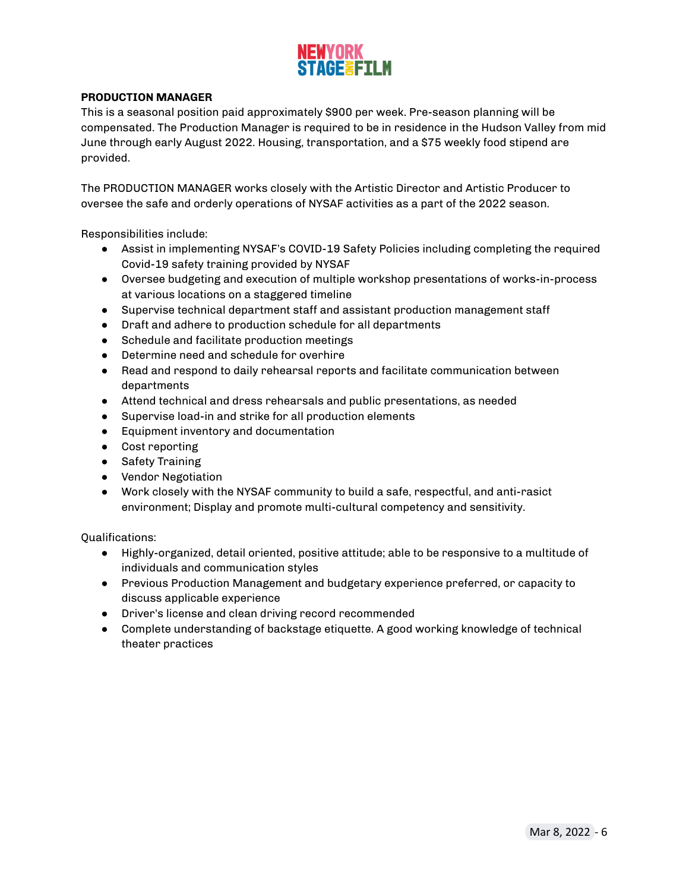

### <span id="page-5-0"></span>**PRODUCTION MANAGER**

This is a seasonal position paid approximately \$900 per week. Pre-season planning will be compensated. The Production Manager is required to be in residence in the Hudson Valley from mid June through early August 2022. Housing, transportation, and a \$75 weekly food stipend are provided.

The PRODUCTION MANAGER works closely with the Artistic Director and Artistic Producer to oversee the safe and orderly operations of NYSAF activities as a part of the 2022 season.

Responsibilities include:

- Assist in implementing NYSAF's COVID-19 Safety Policies including completing the required Covid-19 safety training provided by NYSAF
- Oversee budgeting and execution of multiple workshop presentations of works-in-process at various locations on a staggered timeline
- Supervise technical department staff and assistant production management staff
- Draft and adhere to production schedule for all departments
- Schedule and facilitate production meetings
- Determine need and schedule for overhire
- Read and respond to daily rehearsal reports and facilitate communication between departments
- Attend technical and dress rehearsals and public presentations, as needed
- Supervise load-in and strike for all production elements
- Equipment inventory and documentation
- Cost reporting
- Safety Training
- Vendor Negotiation
- Work closely with the NYSAF community to build a safe, respectful, and anti-rasict environment; Display and promote multi-cultural competency and sensitivity.

- Highly-organized, detail oriented, positive attitude; able to be responsive to a multitude of individuals and communication styles
- Previous Production Management and budgetary experience preferred, or capacity to discuss applicable experience
- Driver's license and clean driving record recommended
- Complete understanding of backstage etiquette. A good working knowledge of technical theater practices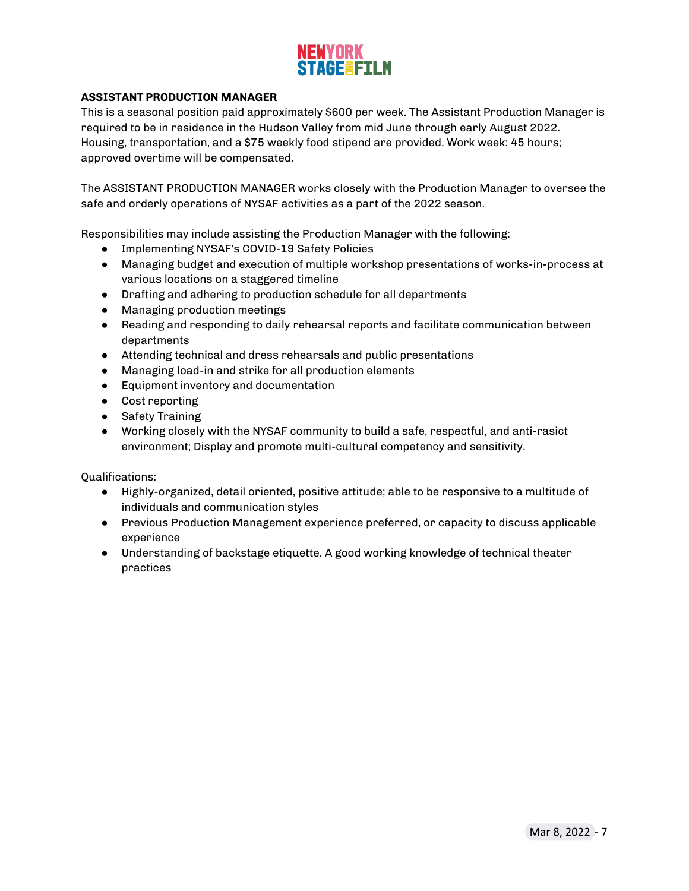

### <span id="page-6-0"></span>**ASSISTANT PRODUCTION MANAGER**

This is a seasonal position paid approximately \$600 per week. The Assistant Production Manager is required to be in residence in the Hudson Valley from mid June through early August 2022. Housing, transportation, and a \$75 weekly food stipend are provided. Work week: 45 hours; approved overtime will be compensated.

The ASSISTANT PRODUCTION MANAGER works closely with the Production Manager to oversee the safe and orderly operations of NYSAF activities as a part of the 2022 season.

Responsibilities may include assisting the Production Manager with the following:

- Implementing NYSAF's COVID-19 Safety Policies
- Managing budget and execution of multiple workshop presentations of works-in-process at various locations on a staggered timeline
- Drafting and adhering to production schedule for all departments
- Managing production meetings
- Reading and responding to daily rehearsal reports and facilitate communication between departments
- Attending technical and dress rehearsals and public presentations
- Managing load-in and strike for all production elements
- Equipment inventory and documentation
- Cost reporting
- Safety Training
- Working closely with the NYSAF community to build a safe, respectful, and anti-rasict environment; Display and promote multi-cultural competency and sensitivity.

- Highly-organized, detail oriented, positive attitude; able to be responsive to a multitude of individuals and communication styles
- Previous Production Management experience preferred, or capacity to discuss applicable experience
- Understanding of backstage etiquette. A good working knowledge of technical theater practices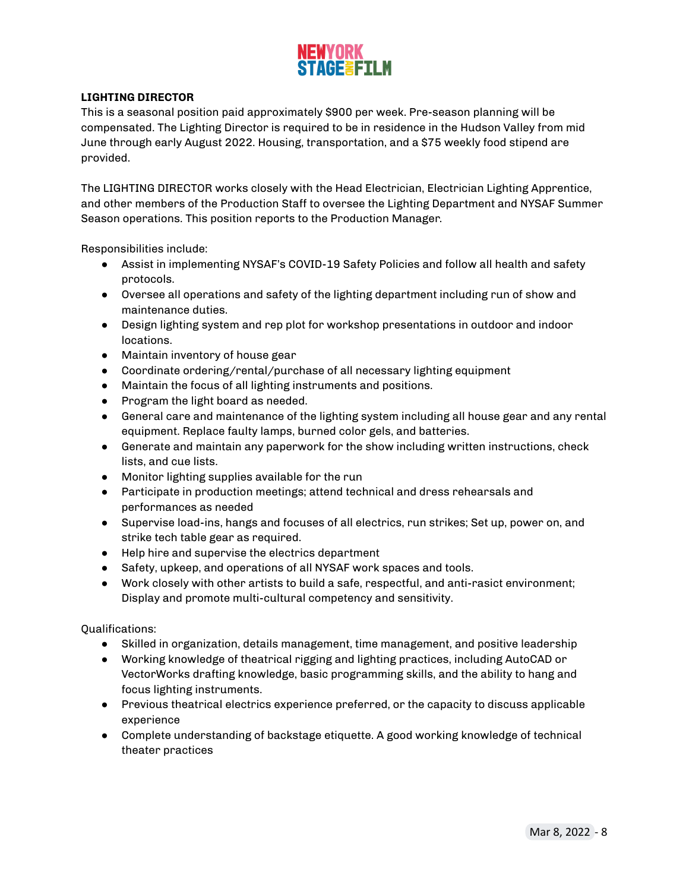

### <span id="page-7-0"></span>**LIGHTING DIRECTOR**

This is a seasonal position paid approximately \$900 per week. Pre-season planning will be compensated. The Lighting Director is required to be in residence in the Hudson Valley from mid June through early August 2022. Housing, transportation, and a \$75 weekly food stipend are provided.

The LIGHTING DIRECTOR works closely with the Head Electrician, Electrician Lighting Apprentice, and other members of the Production Staff to oversee the Lighting Department and NYSAF Summer Season operations. This position reports to the Production Manager.

Responsibilities include:

- Assist in implementing NYSAF's COVID-19 Safety Policies and follow all health and safety protocols.
- Oversee all operations and safety of the lighting department including run of show and maintenance duties.
- Design lighting system and rep plot for workshop presentations in outdoor and indoor locations.
- Maintain inventory of house gear
- Coordinate ordering/rental/purchase of all necessary lighting equipment
- Maintain the focus of all lighting instruments and positions.
- Program the light board as needed.
- General care and maintenance of the lighting system including all house gear and any rental equipment. Replace faulty lamps, burned color gels, and batteries.
- Generate and maintain any paperwork for the show including written instructions, check lists, and cue lists.
- Monitor lighting supplies available for the run
- Participate in production meetings; attend technical and dress rehearsals and performances as needed
- Supervise load-ins, hangs and focuses of all electrics, run strikes; Set up, power on, and strike tech table gear as required.
- Help hire and supervise the electrics department
- Safety, upkeep, and operations of all NYSAF work spaces and tools.
- Work closely with other artists to build a safe, respectful, and anti-rasict environment; Display and promote multi-cultural competency and sensitivity.

- Skilled in organization, details management, time management, and positive leadership
- Working knowledge of theatrical rigging and lighting practices, including AutoCAD or VectorWorks drafting knowledge, basic programming skills, and the ability to hang and focus lighting instruments.
- Previous theatrical electrics experience preferred, or the capacity to discuss applicable experience
- Complete understanding of backstage etiquette. A good working knowledge of technical theater practices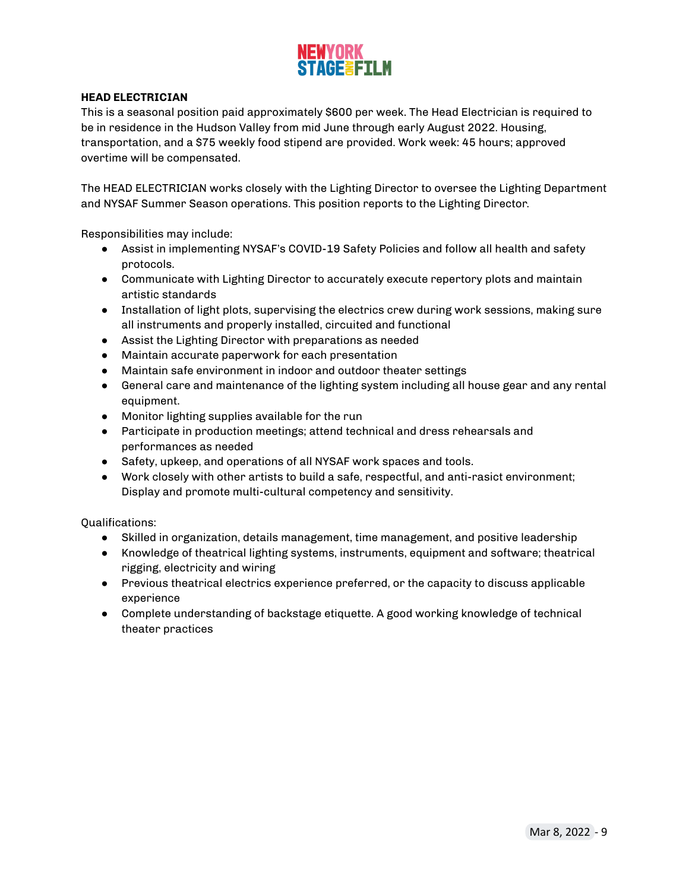

### <span id="page-8-0"></span>**HEAD ELECTRICIAN**

This is a seasonal position paid approximately \$600 per week. The Head Electrician is required to be in residence in the Hudson Valley from mid June through early August 2022. Housing, transportation, and a \$75 weekly food stipend are provided. Work week: 45 hours; approved overtime will be compensated.

The HEAD ELECTRICIAN works closely with the Lighting Director to oversee the Lighting Department and NYSAF Summer Season operations. This position reports to the Lighting Director.

Responsibilities may include:

- Assist in implementing NYSAF's COVID-19 Safety Policies and follow all health and safety protocols.
- Communicate with Lighting Director to accurately execute repertory plots and maintain artistic standards
- Installation of light plots, supervising the electrics crew during work sessions, making sure all instruments and properly installed, circuited and functional
- Assist the Lighting Director with preparations as needed
- Maintain accurate paperwork for each presentation
- Maintain safe environment in indoor and outdoor theater settings
- General care and maintenance of the lighting system including all house gear and any rental equipment.
- Monitor lighting supplies available for the run
- Participate in production meetings; attend technical and dress rehearsals and performances as needed
- Safety, upkeep, and operations of all NYSAF work spaces and tools.
- Work closely with other artists to build a safe, respectful, and anti-rasict environment; Display and promote multi-cultural competency and sensitivity.

- Skilled in organization, details management, time management, and positive leadership
- Knowledge of theatrical lighting systems, instruments, equipment and software; theatrical rigging, electricity and wiring
- Previous theatrical electrics experience preferred, or the capacity to discuss applicable experience
- Complete understanding of backstage etiquette. A good working knowledge of technical theater practices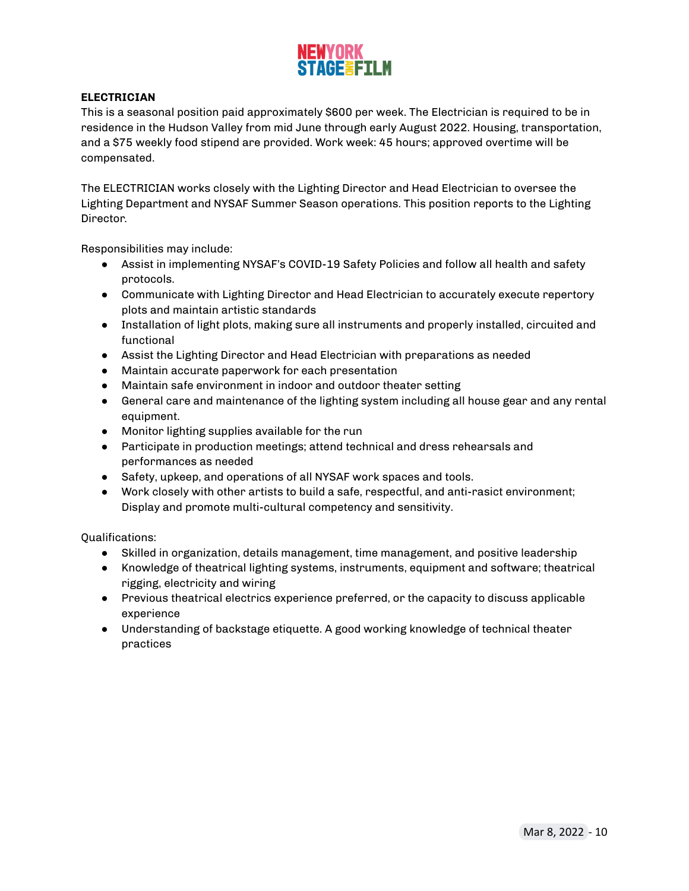

### <span id="page-9-0"></span>**ELECTRICIAN**

This is a seasonal position paid approximately \$600 per week. The Electrician is required to be in residence in the Hudson Valley from mid June through early August 2022. Housing, transportation, and a \$75 weekly food stipend are provided. Work week: 45 hours; approved overtime will be compensated.

The ELECTRICIAN works closely with the Lighting Director and Head Electrician to oversee the Lighting Department and NYSAF Summer Season operations. This position reports to the Lighting Director.

Responsibilities may include:

- Assist in implementing NYSAF's COVID-19 Safety Policies and follow all health and safety protocols.
- Communicate with Lighting Director and Head Electrician to accurately execute repertory plots and maintain artistic standards
- Installation of light plots, making sure all instruments and properly installed, circuited and functional
- Assist the Lighting Director and Head Electrician with preparations as needed
- Maintain accurate paperwork for each presentation
- Maintain safe environment in indoor and outdoor theater setting
- General care and maintenance of the lighting system including all house gear and any rental equipment.
- Monitor lighting supplies available for the run
- Participate in production meetings; attend technical and dress rehearsals and performances as needed
- Safety, upkeep, and operations of all NYSAF work spaces and tools.
- Work closely with other artists to build a safe, respectful, and anti-rasict environment; Display and promote multi-cultural competency and sensitivity.

- Skilled in organization, details management, time management, and positive leadership
- Knowledge of theatrical lighting systems, instruments, equipment and software; theatrical rigging, electricity and wiring
- Previous theatrical electrics experience preferred, or the capacity to discuss applicable experience
- Understanding of backstage etiquette. A good working knowledge of technical theater practices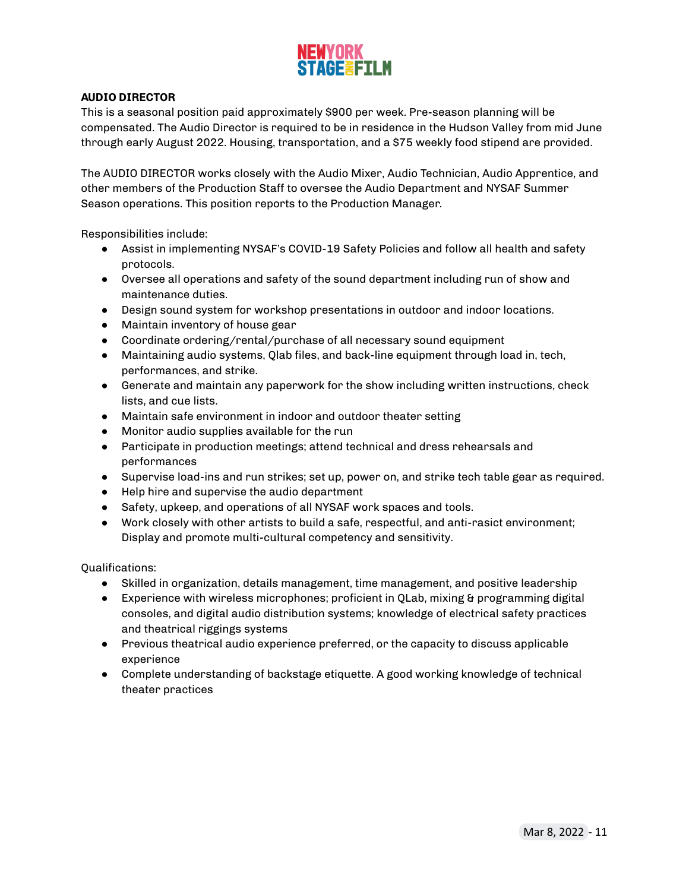### <span id="page-10-0"></span>**AUDIO DIRECTOR**

This is a seasonal position paid approximately \$900 per week. Pre-season planning will be compensated. The Audio Director is required to be in residence in the Hudson Valley from mid June through early August 2022. Housing, transportation, and a \$75 weekly food stipend are provided.

The AUDIO DIRECTOR works closely with the Audio Mixer, Audio Technician, Audio Apprentice, and other members of the Production Staff to oversee the Audio Department and NYSAF Summer Season operations. This position reports to the Production Manager.

Responsibilities include:

- Assist in implementing NYSAF's COVID-19 Safety Policies and follow all health and safety protocols.
- Oversee all operations and safety of the sound department including run of show and maintenance duties.
- Design sound system for workshop presentations in outdoor and indoor locations.
- Maintain inventory of house gear
- Coordinate ordering/rental/purchase of all necessary sound equipment
- Maintaining audio systems, Qlab files, and back-line equipment through load in, tech, performances, and strike.
- Generate and maintain any paperwork for the show including written instructions, check lists, and cue lists.
- Maintain safe environment in indoor and outdoor theater setting
- Monitor audio supplies available for the run
- Participate in production meetings; attend technical and dress rehearsals and performances
- Supervise load-ins and run strikes; set up, power on, and strike tech table gear as required.
- Help hire and supervise the audio department
- Safety, upkeep, and operations of all NYSAF work spaces and tools.
- Work closely with other artists to build a safe, respectful, and anti-rasict environment; Display and promote multi-cultural competency and sensitivity.

- Skilled in organization, details management, time management, and positive leadership
- Experience with wireless microphones; proficient in QLab, mixing & programming digital consoles, and digital audio distribution systems; knowledge of electrical safety practices and theatrical riggings systems
- Previous theatrical audio experience preferred, or the capacity to discuss applicable experience
- Complete understanding of backstage etiquette. A good working knowledge of technical theater practices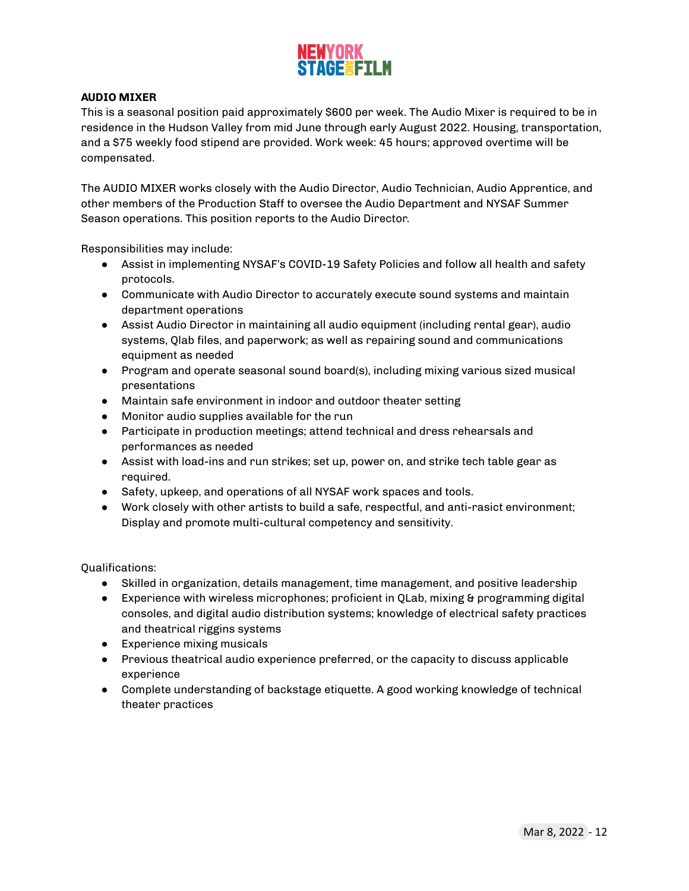

### <span id="page-11-0"></span>**AUDIO MIXER**

This is a seasonal position paid approximately \$600 per week. The Audio Mixer is required to be in residence in the Hudson Valley from mid June through early August 2022. Housing, transportation, and a \$75 weekly food stipend are provided. Work week: 45 hours; approved overtime will be compensated.

The AUDIO MIXER works closely with the Audio Director, Audio Technician, Audio Apprentice, and other members of the Production Staff to oversee the Audio Department and NYSAF Summer Season operations. This position reports to the Audio Director.

Responsibilities may include:

- Assist in implementing NYSAF's COVID-19 Safety Policies and follow all health and safety protocols.
- Communicate with Audio Director to accurately execute sound systems and maintain department operations
- Assist Audio Director in maintaining all audio equipment (including rental gear), audio systems, Qlab files, and paperwork; as well as repairing sound and communications equipment as needed
- Program and operate seasonal sound board(s), including mixing various sized musical presentations
- Maintain safe environment in indoor and outdoor theater setting
- Monitor audio supplies available for the run
- Participate in production meetings; attend technical and dress rehearsals and performances as needed
- Assist with load-ins and run strikes; set up, power on, and strike tech table gear as required.
- Safety, upkeep, and operations of all NYSAF work spaces and tools.
- Work closely with other artists to build a safe, respectful, and anti-rasict environment; Display and promote multi-cultural competency and sensitivity.

- Skilled in organization, details management, time management, and positive leadership
- Experience with wireless microphones; proficient in QLab, mixing & programming digital consoles, and digital audio distribution systems; knowledge of electrical safety practices and theatrical riggins systems
- Experience mixing musicals
- Previous theatrical audio experience preferred, or the capacity to discuss applicable experience
- Complete understanding of backstage etiquette. A good working knowledge of technical theater practices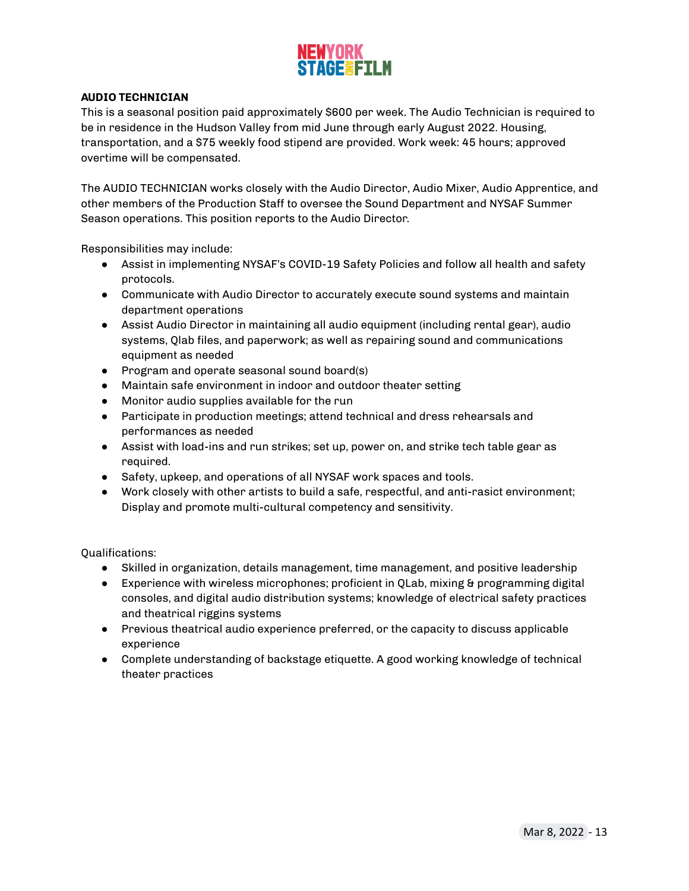

### <span id="page-12-0"></span>**AUDIO TECHNICIAN**

This is a seasonal position paid approximately \$600 per week. The Audio Technician is required to be in residence in the Hudson Valley from mid June through early August 2022. Housing, transportation, and a \$75 weekly food stipend are provided. Work week: 45 hours; approved overtime will be compensated.

The AUDIO TECHNICIAN works closely with the Audio Director, Audio Mixer, Audio Apprentice, and other members of the Production Staff to oversee the Sound Department and NYSAF Summer Season operations. This position reports to the Audio Director.

Responsibilities may include:

- Assist in implementing NYSAF's COVID-19 Safety Policies and follow all health and safety protocols.
- Communicate with Audio Director to accurately execute sound systems and maintain department operations
- Assist Audio Director in maintaining all audio equipment (including rental gear), audio systems, Qlab files, and paperwork; as well as repairing sound and communications equipment as needed
- Program and operate seasonal sound board(s)
- Maintain safe environment in indoor and outdoor theater setting
- Monitor audio supplies available for the run
- Participate in production meetings; attend technical and dress rehearsals and performances as needed
- Assist with load-ins and run strikes; set up, power on, and strike tech table gear as required.
- Safety, upkeep, and operations of all NYSAF work spaces and tools.
- Work closely with other artists to build a safe, respectful, and anti-rasict environment; Display and promote multi-cultural competency and sensitivity.

- Skilled in organization, details management, time management, and positive leadership
- Experience with wireless microphones; proficient in QLab, mixing & programming digital consoles, and digital audio distribution systems; knowledge of electrical safety practices and theatrical riggins systems
- Previous theatrical audio experience preferred, or the capacity to discuss applicable experience
- Complete understanding of backstage etiquette. A good working knowledge of technical theater practices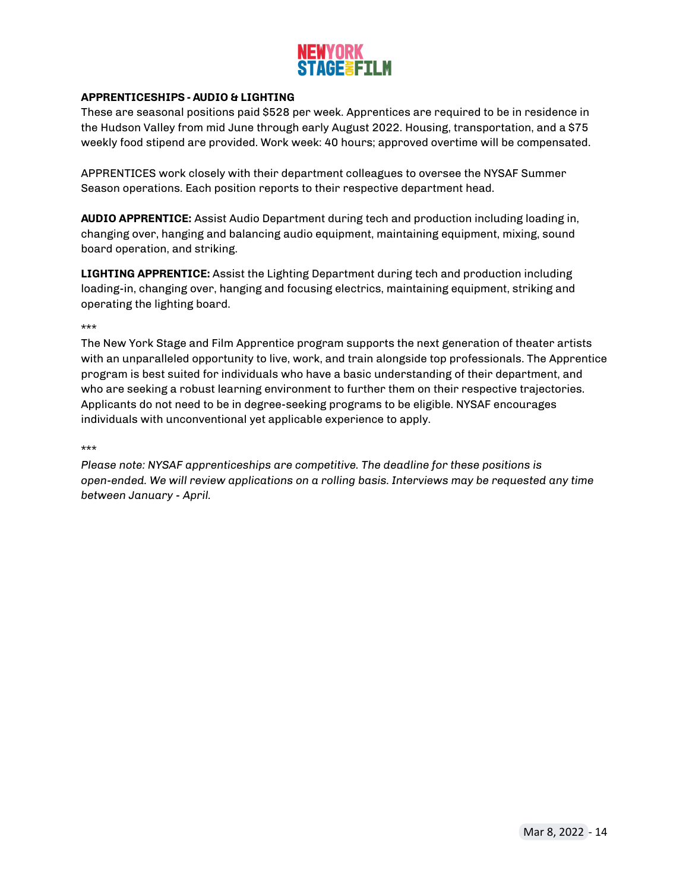

### <span id="page-13-0"></span>**APPRENTICESHIPS - AUDIO & LIGHTING**

These are seasonal positions paid \$528 per week. Apprentices are required to be in residence in the Hudson Valley from mid June through early August 2022. Housing, transportation, and a \$75 weekly food stipend are provided. Work week: 40 hours; approved overtime will be compensated.

APPRENTICES work closely with their department colleagues to oversee the NYSAF Summer Season operations. Each position reports to their respective department head.

**AUDIO APPRENTICE:** Assist Audio Department during tech and production including loading in, changing over, hanging and balancing audio equipment, maintaining equipment, mixing, sound board operation, and striking.

**LIGHTING APPRENTICE:** Assist the Lighting Department during tech and production including loading-in, changing over, hanging and focusing electrics, maintaining equipment, striking and operating the lighting board.

\*\*\*

The New York Stage and Film Apprentice program supports the next generation of theater artists with an unparalleled opportunity to live, work, and train alongside top professionals. The Apprentice program is best suited for individuals who have a basic understanding of their department, and who are seeking a robust learning environment to further them on their respective trajectories. Applicants do not need to be in degree-seeking programs to be eligible. NYSAF encourages individuals with unconventional yet applicable experience to apply.

\*\*\*

*Please note: NYSAF apprenticeships are competitive. The deadline for these positions is open-ended. We will review applications on a rolling basis. Interviews may be requested any time between January - April.*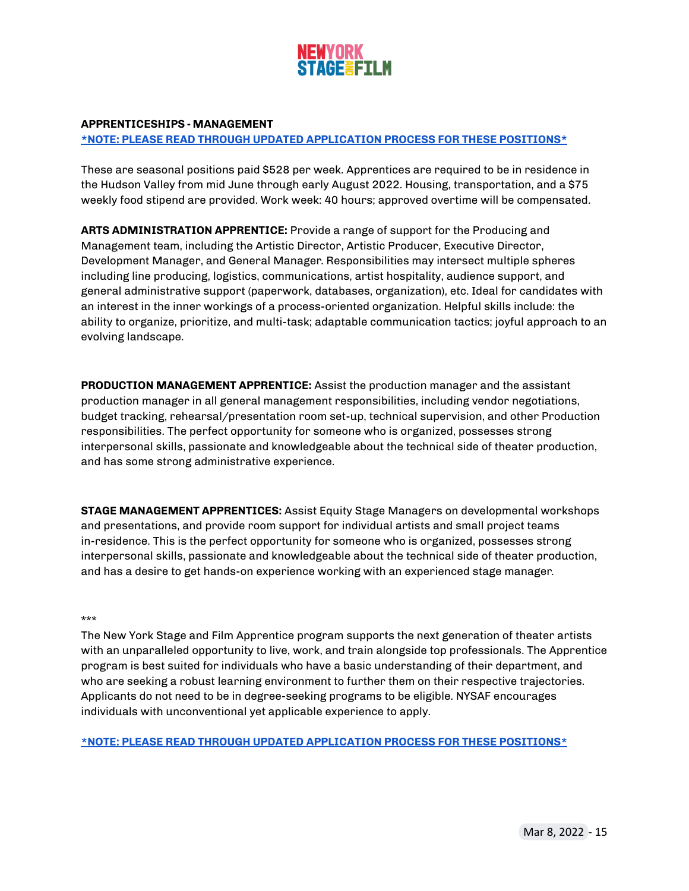

### **APPRENTICESHIPS - MANAGEMENT**

### **\*NOTE: PLEASE READ THROUGH UPDATED [APPLICATION](#page-15-0) PROCESS FOR THESE POSITIONS\***

These are seasonal positions paid \$528 per week. Apprentices are required to be in residence in the Hudson Valley from mid June through early August 2022. Housing, transportation, and a \$75 weekly food stipend are provided. Work week: 40 hours; approved overtime will be compensated.

**ARTS ADMINISTRATION APPRENTICE:** Provide a range of support for the Producing and Management team, including the Artistic Director, Artistic Producer, Executive Director, Development Manager, and General Manager. Responsibilities may intersect multiple spheres including line producing, logistics, communications, artist hospitality, audience support, and general administrative support (paperwork, databases, organization), etc. Ideal for candidates with an interest in the inner workings of a process-oriented organization. Helpful skills include: the ability to organize, prioritize, and multi-task; adaptable communication tactics; joyful approach to an evolving landscape.

**PRODUCTION MANAGEMENT APPRENTICE:** Assist the production manager and the assistant production manager in all general management responsibilities, including vendor negotiations, budget tracking, rehearsal/presentation room set-up, technical supervision, and other Production responsibilities. The perfect opportunity for someone who is organized, possesses strong interpersonal skills, passionate and knowledgeable about the technical side of theater production, and has some strong administrative experience.

**STAGE MANAGEMENT APPRENTICES:** Assist Equity Stage Managers on developmental workshops and presentations, and provide room support for individual artists and small project teams in-residence. This is the perfect opportunity for someone who is organized, possesses strong interpersonal skills, passionate and knowledgeable about the technical side of theater production, and has a desire to get hands-on experience working with an experienced stage manager.

### \*\*\*

The New York Stage and Film Apprentice program supports the next generation of theater artists with an unparalleled opportunity to live, work, and train alongside top professionals. The Apprentice program is best suited for individuals who have a basic understanding of their department, and who are seeking a robust learning environment to further them on their respective trajectories. Applicants do not need to be in degree-seeking programs to be eligible. NYSAF encourages individuals with unconventional yet applicable experience to apply.

**\*NOTE: PLEASE READ THROUGH UPDATED [APPLICATION](#page-15-0) PROCESS FOR THESE POSITIONS\***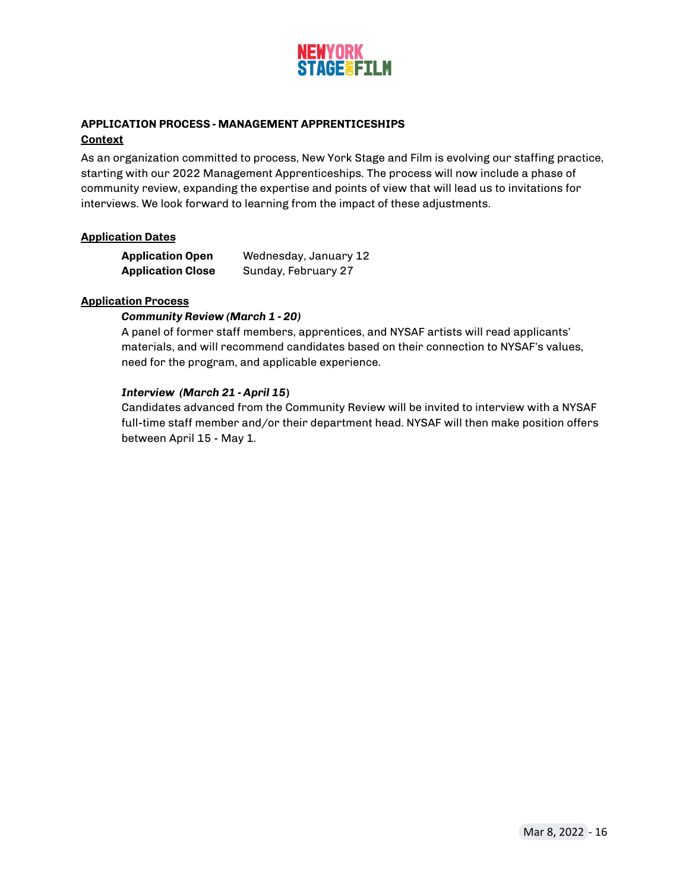

### <span id="page-15-0"></span>**APPLICATION PROCESS - MANAGEMENT APPRENTICESHIPS Context**

As an organization committed to process, New York Stage and Film is evolving our staffing practice, starting with our 2022 Management Apprenticeships. The process will now include a phase of community review, expanding the expertise and points of view that will lead us to invitations for interviews. We look forward to learning from the impact of these adjustments.

### **Application Dates**

| <b>Application Open</b>  | Wednesday, January 12 |
|--------------------------|-----------------------|
| <b>Application Close</b> | Sunday, February 27   |

### **Application Process**

### *Community Review (March 1 - 20)*

A panel of former staff members, apprentices, and NYSAF artists will read applicants' materials, and will recommend candidates based on their connection to NYSAF's values, need for the program, and applicable experience.

### *Interview (March 21 - April 15***)**

Candidates advanced from the Community Review will be invited to interview with a NYSAF full-time staff member and/or their department head. NYSAF will then make position offers between April 15 - May 1.